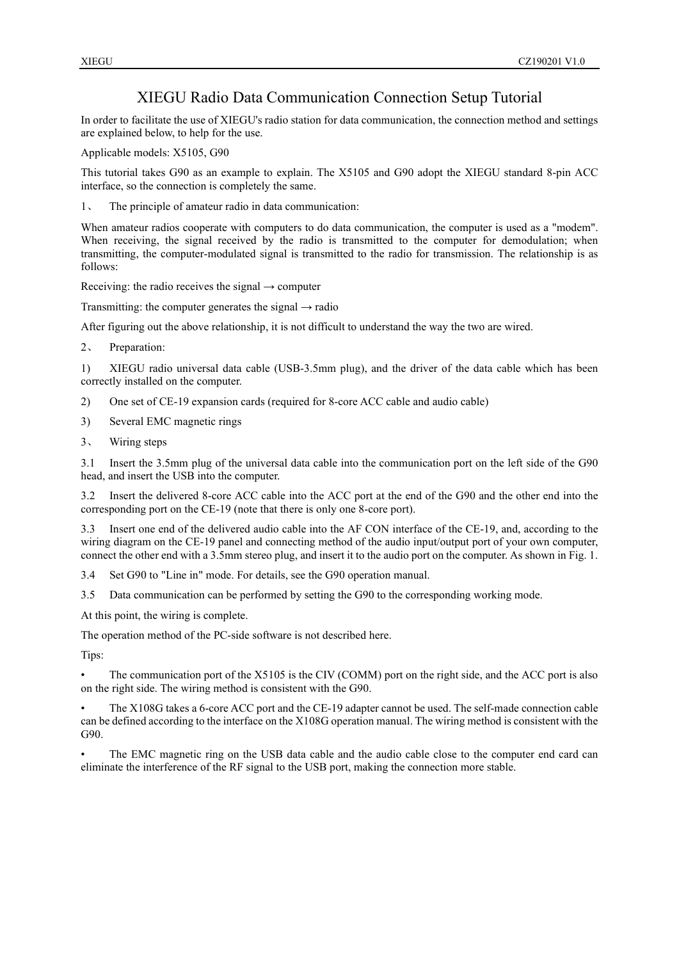## XIEGU Radio Data Communication Connection Setup Tutorial

In order to facilitate the use of XIEGU's radio station for data communication, the connection method and settings are explained below, to help for the use.

Applicable models: X5105, G90

This tutorial takes G90 as an example to explain. The X5105 and G90 adopt the XIEGU standard 8-pin ACC interface, so the connection is completely the same.

1、 The principle of amateur radio in data communication:

When amateur radios cooperate with computers to do data communication, the computer is used as a "modem". When receiving, the signal received by the radio is transmitted to the computer for demodulation; when transmitting, the computer-modulated signal is transmitted to the radio for transmission. The relationship is as follows:

Receiving: the radio receives the signal  $\rightarrow$  computer

Transmitting: the computer generates the signal  $\rightarrow$  radio

After figuring out the above relationship, it is not difficult to understand the way the two are wired.

2、 Preparation:

1) XIEGU radio universal data cable (USB-3.5mm plug), and the driver of the data cable which has been correctly installed on the computer.

- 2) One set of CE-19 expansion cards (required for 8-core ACC cable and audio cable)
- 3) Several EMC magnetic rings
- 3、 Wiring steps

3.1 Insert the 3.5mm plug of the universal data cable into the communication port on the left side of the G90 head, and insert the USB into the computer.

3.2 Insert the delivered 8-core ACC cable into the ACC port at the end of the G90 and the other end into the corresponding port on the CE-19 (note that there is only one 8-core port).

3.3 Insert one end of the delivered audio cable into the AF CON interface of the CE-19, and, according to the wiring diagram on the CE-19 panel and connecting method of the audio input/output port of your own computer, connect the other end with a 3.5mm stereo plug, and insert it to the audio port on the computer. As shown in Fig. 1.

3.4 Set G90 to "Line in" mode. For details, see the G90 operation manual.

3.5 Data communication can be performed by setting the G90 to the corresponding working mode.

At this point, the wiring is complete.

The operation method of the PC-side software is not described here.

Tips:

• The communication port of the X5105 is the CIV (COMM) port on the right side, and the ACC port is also on the right side. The wiring method is consistent with the G90.

• The X108G takes a 6-core ACC port and the CE-19 adapter cannot be used. The self-made connection cable can be defined according to the interface on the X108G operation manual. The wiring method is consistent with the G90.

The EMC magnetic ring on the USB data cable and the audio cable close to the computer end card can eliminate the interference of the RF signal to the USB port, making the connection more stable.